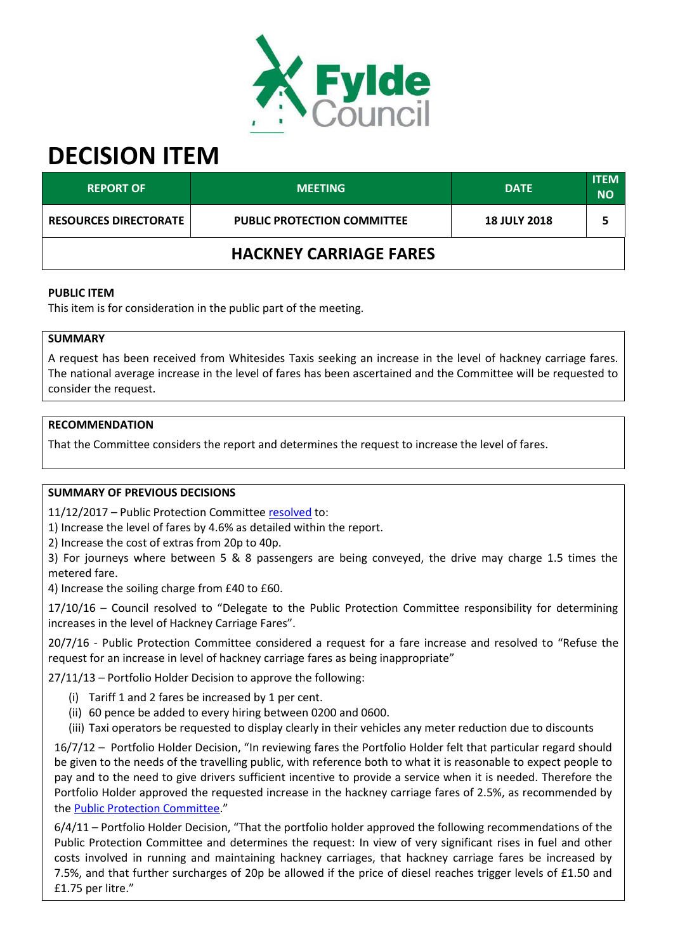

# **DECISION ITEM**

| <b>REPORT OF</b>              | <b>MEETING</b>                     | <b>DATE</b>         | <b>ITEM</b><br><b>NO</b> |  |  |
|-------------------------------|------------------------------------|---------------------|--------------------------|--|--|
| <b>RESOURCES DIRECTORATE</b>  | <b>PUBLIC PROTECTION COMMITTEE</b> | <b>18 JULY 2018</b> |                          |  |  |
| <b>HACKNEY CARRIAGE FARES</b> |                                    |                     |                          |  |  |

#### **PUBLIC ITEM**

This item is for consideration in the public part of the meeting.

## **SUMMARY**

A request has been received from Whitesides Taxis seeking an increase in the level of hackney carriage fares. The national average increase in the level of fares has been ascertained and the Committee will be requested to consider the request.

## **RECOMMENDATION**

That the Committee considers the report and determines the request to increase the level of fares.

## **SUMMARY OF PREVIOUS DECISIONS**

11/12/2017 – Public Protection Committe[e resolved](https://fylde.cmis.uk.com/Fylde/Document.ashx?czJKcaeAi5tUFL1DTL2UE4zNRBcoShgo=aCG%2fRBfLkMVnyRpj50i34tIYNskY9dctSDJsFrN%2fviboy6P4CcDoyw%3d%3d&rUzwRPf%2bZ3zd4E7Ikn8Lyw%3d%3d=pwRE6AGJFLDNlh225F5QMaQWCtPHwdhUfCZ%2fLUQzgA2uL5jNRG4jdQ%3d%3d&mCTIbCubSFfXsDGW9IXnlg%3d%3d=hFflUdN3100%3d&kCx1AnS9%2fpWZQ40DXFvdEw%3d%3d=hFflUdN3100%3d&uJovDxwdjMPoYv%2bAJvYtyA%3d%3d=ctNJFf55vVA%3d&FgPlIEJYlotS%2bYGoBi5olA%3d%3d=NHdURQburHA%3d&d9Qjj0ag1Pd993jsyOJqFvmyB7X0CSQK=ctNJFf55vVA%3d&WGewmoAfeNR9xqBux0r1Q8Za60lavYmz=ctNJFf55vVA%3d&WGewmoAfeNQ16B2MHuCpMRKZMwaG1PaO=ctNJFf55vVA%3d) to:

1) Increase the level of fares by 4.6% as detailed within the report.

2) Increase the cost of extras from 20p to 40p.

3) For journeys where between 5 & 8 passengers are being conveyed, the drive may charge 1.5 times the metered fare.

4) Increase the soiling charge from £40 to £60.

 $17/10/16$  – Council resolved to "Delegate to the Public Protection Committee responsibility for determining increases in the level of Hackney Carriage Fares".

20/7/16 - Public Protection Committee considered a request for a fare increase and resolved to "Refuse the request for an increase in level of hackney carriage fares as being inappropriate"

27/11/13 – Portfolio Holder Decision to approve the following:

- (i) Tariff 1 and 2 fares be increased by 1 per cent.
- (ii) 60 pence be added to every hiring between 0200 and 0600.
- (iii) Taxi operators be requested to display clearly in their vehicles any meter reduction due to discounts

16/7/12 - Portfolio Holder Decision, "In reviewing fares the Portfolio Holder felt that particular regard should be given to the needs of the travelling public, with reference both to what it is reasonable to expect people to pay and to the need to give drivers sufficient incentive to provide a service when it is needed. Therefore the Portfolio Holder approved the requested increase in the hackney carriage fares of 2.5%, as recommended by the [Public Protection Committee.](https://fylde.cmis.uk.com/Fylde/Document.ashx?czJKcaeAi5tUFL1DTL2UE4zNRBcoShgo=IvIL59LL%2b3dczyi1hsSy1eCy0xe28HD6Gb%2brs0DZ103XFNkEmwVt4A%3d%3d&rUzwRPf%2bZ3zd4E7Ikn8Lyw%3d%3d=pwRE6AGJFLDNlh225F5QMaQWCtPHwdhUfCZ%2fLUQzgA2uL5jNRG4jdQ%3d%3d&mCTIbCubSFfXsDGW9IXnlg%3d%3d=hFflUdN3100%3d&kCx1AnS9%2fpWZQ40DXFvdEw%3d%3d=hFflUdN3100%3d&uJovDxwdjMPoYv%2bAJvYtyA%3d%3d=ctNJFf55vVA%3d&FgPlIEJYlotS%2bYGoBi5olA%3d%3d=NHdURQburHA%3d&d9Qjj0ag1Pd993jsyOJqFvmyB7X0CSQK=ctNJFf55vVA%3d&WGewmoAfeNR9xqBux0r1Q8Za60lavYmz=ctNJFf55vVA%3d&WGewmoAfeNQ16B2MHuCpMRKZMwaG1PaO=ctNJFf55vVA%3d)"

 $6/4/11$  – Portfolio Holder Decision, "That the portfolio holder approved the following recommendations of the Public Protection Committee and determines the request: In view of very significant rises in fuel and other costs involved in running and maintaining hackney carriages, that hackney carriage fares be increased by 7.5%, and that further surcharges of 20p be allowed if the price of diesel reaches trigger levels of £1.50 and £1.75 per litre."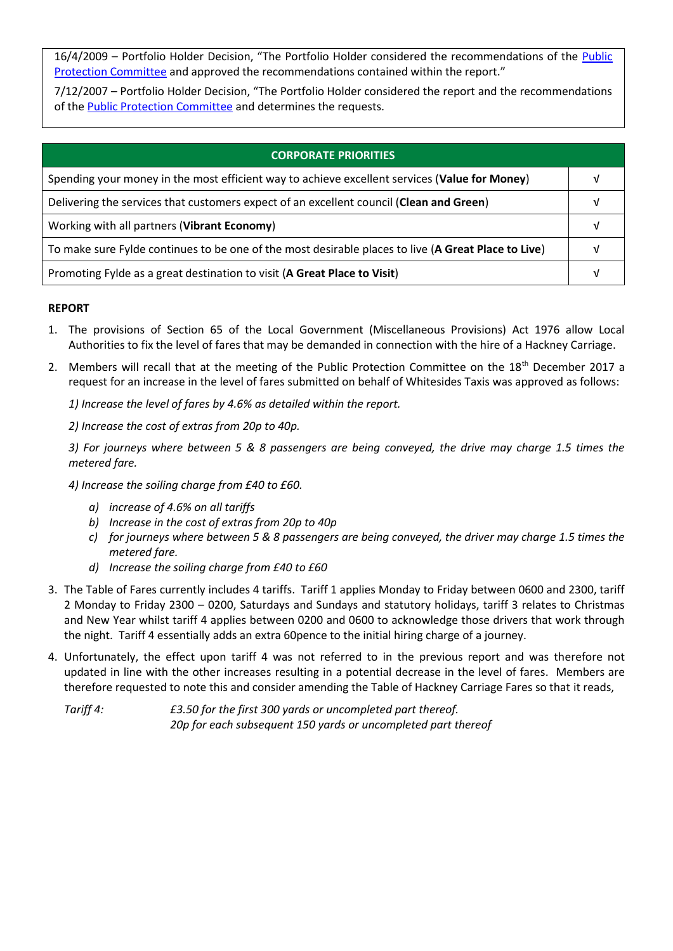16/4/2009 – Portfolio Holder Decision, "The Portfolio Holder considered the recommendations of the Public [Protection Committee](https://fylde.cmis.uk.com/Fylde/Document.ashx?czJKcaeAi5tUFL1DTL2UE4zNRBcoShgo=K1SZxd0rvHPAfVAuK24OaiiS4o9eHICcSPxiJYD2pvQutaKtP1CrSA%3d%3d&rUzwRPf%2bZ3zd4E7Ikn8Lyw%3d%3d=pwRE6AGJFLDNlh225F5QMaQWCtPHwdhUfCZ%2fLUQzgA2uL5jNRG4jdQ%3d%3d&mCTIbCubSFfXsDGW9IXnlg%3d%3d=hFflUdN3100%3d&kCx1AnS9%2fpWZQ40DXFvdEw%3d%3d=hFflUdN3100%3d&uJovDxwdjMPoYv%2bAJvYtyA%3d%3d=ctNJFf55vVA%3d&FgPlIEJYlotS%2bYGoBi5olA%3d%3d=NHdURQburHA%3d&d9Qjj0ag1Pd993jsyOJqFvmyB7X0CSQK=ctNJFf55vVA%3d&WGewmoAfeNR9xqBux0r1Q8Za60lavYmz=ctNJFf55vVA%3d&WGewmoAfeNQ16B2MHuCpMRKZMwaG1PaO=ctNJFf55vVA%3d) and approved the recommendations contained within the report.<sup>n</sup>

7/12/2007 – Portfolio Holder Decision, "The Portfolio Holder considered the report and the recommendations of the [Public Protection Committee](https://fylde.cmis.uk.com/fylde/MeetingsCalendar/tabid/70/ctl/ViewMeetingPublic/mid/397/Meeting/681/Committee/35/Default.aspx) and determines the requests.

| <b>CORPORATE PRIORITIES</b>                                                                         |  |  |
|-----------------------------------------------------------------------------------------------------|--|--|
| Spending your money in the most efficient way to achieve excellent services (Value for Money)       |  |  |
| Delivering the services that customers expect of an excellent council (Clean and Green)             |  |  |
| Working with all partners (Vibrant Economy)                                                         |  |  |
| To make sure Fylde continues to be one of the most desirable places to live (A Great Place to Live) |  |  |
| Promoting Fylde as a great destination to visit (A Great Place to Visit)                            |  |  |

## **REPORT**

- 1. The provisions of Section 65 of the Local Government (Miscellaneous Provisions) Act 1976 allow Local Authorities to fix the level of fares that may be demanded in connection with the hire of a Hackney Carriage.
- 2. Members will recall that at the meeting of the Public Protection Committee on the 18<sup>th</sup> December 2017 a request for an increase in the level of fares submitted on behalf of Whitesides Taxis was approved as follows:

*1) Increase the level of fares by 4.6% as detailed within the report.* 

*2) Increase the cost of extras from 20p to 40p.* 

*3) For journeys where between 5 & 8 passengers are being conveyed, the drive may charge 1.5 times the metered fare.* 

*4) Increase the soiling charge from £40 to £60.* 

- *a) increase of 4.6% on all tariffs*
- *b) Increase in the cost of extras from 20p to 40p*
- *c) for journeys where between 5 & 8 passengers are being conveyed, the driver may charge 1.5 times the metered fare.*
- *d) Increase the soiling charge from £40 to £60*
- 3. The Table of Fares currently includes 4 tariffs. Tariff 1 applies Monday to Friday between 0600 and 2300, tariff 2 Monday to Friday 2300 – 0200, Saturdays and Sundays and statutory holidays, tariff 3 relates to Christmas and New Year whilst tariff 4 applies between 0200 and 0600 to acknowledge those drivers that work through the night. Tariff 4 essentially adds an extra 60pence to the initial hiring charge of a journey.
- 4. Unfortunately, the effect upon tariff 4 was not referred to in the previous report and was therefore not updated in line with the other increases resulting in a potential decrease in the level of fares. Members are therefore requested to note this and consider amending the Table of Hackney Carriage Fares so that it reads,

*Tariff 4: £3.50 for the first 300 yards or uncompleted part thereof. 20p for each subsequent 150 yards or uncompleted part thereof*